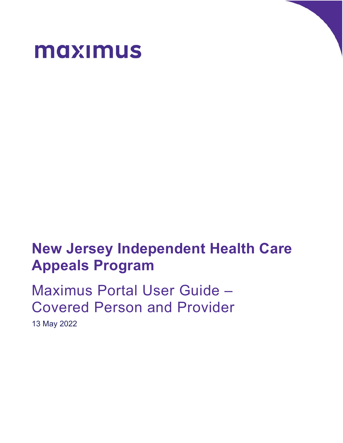

# **New Jersey Independent Health Care Appeals Program**

Maximus Portal User Guide – Covered Person and Provider

13 May 2022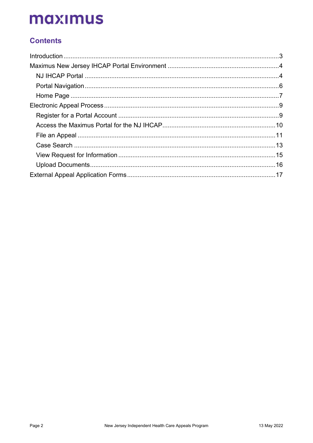## **Contents**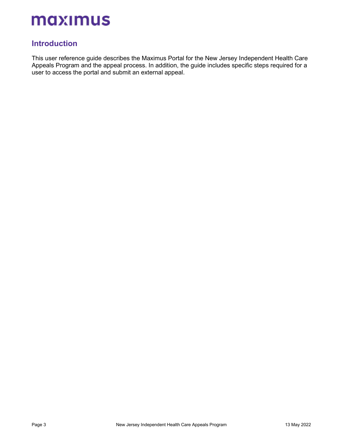## **Introduction**

<span id="page-2-0"></span>This user reference guide describes the Maximus Portal for the New Jersey Independent Health Care Appeals Program and the appeal process. In addition, the guide includes specific steps required for a user to access the portal and submit an external appeal.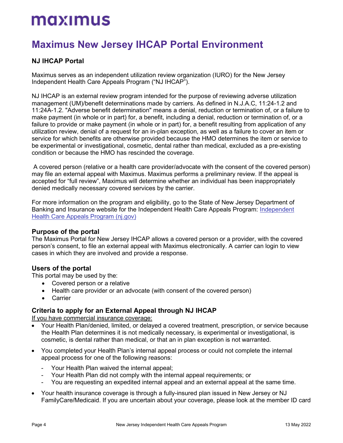## **Maximus New Jersey IHCAP Portal Environment**

## **NJ IHCAP Portal**

<span id="page-3-0"></span>Maximus serves as an independent utilization review organization (IURO) for the New Jersey Independent Health Care Appeals Program ("NJ IHCAP").

<span id="page-3-1"></span>NJ IHCAP is an external review program intended for the purpose of reviewing adverse utilization management (UM)/benefit determinations made by carriers. As defined in N.J.A.C, 11:24-1.2 and 11:24A-1.2. "Adverse benefit determination" means a denial, reduction or termination of, or a failure to make payment (in whole or in part) for, a benefit, including a denial, reduction or termination of, or a failure to provide or make payment (in whole or in part) for, a benefit resulting from application of any utilization review, denial of a request for an in-plan exception, as well as a failure to cover an item or service for which benefits are otherwise provided because the HMO determines the item or service to be experimental or investigational, cosmetic, dental rather than medical, excluded as a pre-existing condition or because the HMO has rescinded the coverage.

A covered person (relative or a health care provider/advocate with the consent of the covered person) may file an external appeal with Maximus. Maximus performs a preliminary review. If the appeal is accepted for "full review", Maximus will determine whether an individual has been inappropriately denied medically necessary covered services by the carrier.

For more information on the program and eligibility, go to the State of New Jersey Department of Banking and Insurance website for the Independent Health Care Appeals Program: [Independent](https://www.nj.gov/dobi/division_insurance/managedcare/ihcap.htm)  [Health Care Appeals Program \(nj.gov\)](https://www.nj.gov/dobi/division_insurance/managedcare/ihcap.htm)

### **Purpose of the portal**

The Maximus Portal for New Jersey IHCAP allows a covered person or a provider, with the covered person's consent, to file an external appeal with Maximus electronically. A carrier can login to view cases in which they are involved and provide a response.

### **Users of the portal**

This portal may be used by the:

- Covered person or a relative
- Health care provider or an advocate (with consent of the covered person)
- **Carrier**

### **Criteria to apply for an External Appeal through NJ IHCAP**

If you have commercial insurance coverage:

- Your Health Plan/denied, limited, or delayed a covered treatment, prescription, or service because the Health Plan determines it is not medically necessary, is experimental or investigational, is cosmetic, is dental rather than medical, or that an in plan exception is not warranted.
- You completed your Health Plan's internal appeal process or could not complete the internal appeal process for one of the following reasons:
	- Your Health Plan waived the internal appeal;
	- Your Health Plan did not comply with the internal appeal requirements; or
	- You are requesting an expedited internal appeal and an external appeal at the same time.
- Your health insurance coverage is through a fully-insured plan issued in New Jersey or NJ FamilyCare/Medicaid. If you are uncertain about your coverage, please look at the member ID card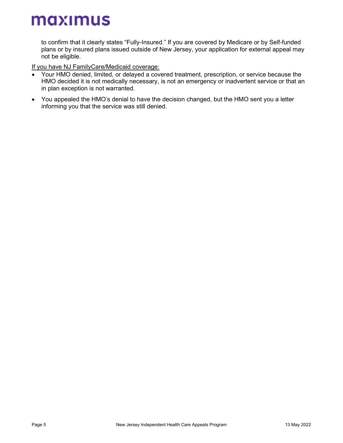to confirm that it clearly states "Fully-Insured." If you are covered by Medicare or by Self-funded plans or by insured plans issued outside of New Jersey, your application for external appeal may not be eligible.

If you have NJ FamilyCare/Medicaid coverage:

- Your HMO denied, limited, or delayed a covered treatment, prescription, or service because the HMO decided it is not medically necessary, is not an emergency or inadvertent service or that an in plan exception is not warranted.
- You appealed the HMO's denial to have the decision changed, but the HMO sent you a letter informing you that the service was still denied.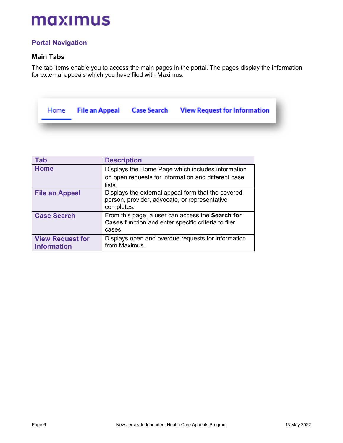## **Portal Navigation**

### **Main Tabs**

<span id="page-5-0"></span>The tab items enable you to access the main pages in the portal. The pages display the information for external appeals which you have filed with Maximus.

|  |  | Home File an Appeal Case Search View Request for Information |
|--|--|--------------------------------------------------------------|
|  |  |                                                              |

| <b>Tab</b>                                    | <b>Description</b>                                                                                                 |
|-----------------------------------------------|--------------------------------------------------------------------------------------------------------------------|
| <b>Home</b>                                   | Displays the Home Page which includes information<br>on open requests for information and different case<br>lists. |
| <b>File an Appeal</b>                         | Displays the external appeal form that the covered<br>person, provider, advocate, or representative<br>completes.  |
| <b>Case Search</b>                            | From this page, a user can access the Search for<br>Cases function and enter specific criteria to filer<br>cases.  |
| <b>View Request for</b><br><b>Information</b> | Displays open and overdue requests for information<br>from Maximus.                                                |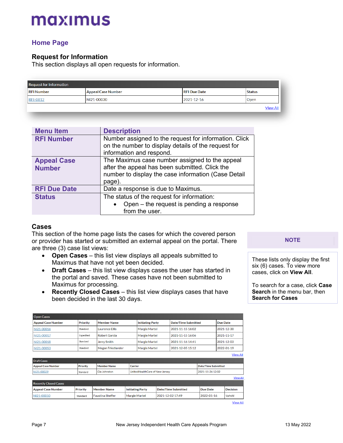## **Home Page**

### **Request for Information**

<span id="page-6-0"></span>This section displays all open requests for information.

| <b>Request for Information</b> |                           |                     |                 |  |
|--------------------------------|---------------------------|---------------------|-----------------|--|
| <b>RFI Number</b>              | <b>Appeal Case Number</b> | <b>RFI Due Date</b> | <b>Status</b>   |  |
| <b>RFI-0812</b>                | NI21-00030                | 2021-12-16          | Open            |  |
|                                |                           |                     | <b>View All</b> |  |

| <b>Menu Item</b>                    | <b>Description</b>                                                                                                                                                |
|-------------------------------------|-------------------------------------------------------------------------------------------------------------------------------------------------------------------|
| <b>RFI Number</b>                   | Number assigned to the request for information. Click<br>on the number to display details of the request for<br>information and respond.                          |
| <b>Appeal Case</b><br><b>Number</b> | The Maximus case number assigned to the appeal<br>after the appeal has been submitted. Click the<br>number to display the case information (Case Detail<br>page). |
| <b>RFI Due Date</b>                 | Date a response is due to Maximus.                                                                                                                                |
| <b>Status</b>                       | The status of the request for information:<br>Open $-$ the request is pending a response<br>from the user.                                                        |

### **Cases**

This section of the home page lists the cases for which the covered person or provider has started or submitted an external appeal on the portal. There are three (3) case list views:

- **Open Cases** this list view displays all appeals submitted to Maximus that have not yet been decided.
- **Draft Cases** this list view displays cases the user has started in the portal and saved. These cases have not been submitted to Maximus for processing.
- **Recently Closed Cases** this list view displays cases that have been decided in the last 30 days.

| <b>Open Cases</b>            |                 |                          |                      |                                          |  |                            |                            |                 |                 |
|------------------------------|-----------------|--------------------------|----------------------|------------------------------------------|--|----------------------------|----------------------------|-----------------|-----------------|
| <b>Appeal Case Number</b>    | <b>Priority</b> | <b>Member Name</b>       |                      | <b>Initiating Party</b>                  |  | <b>Date/Time Submitted</b> |                            | <b>Due Date</b> |                 |
| NI21-00016                   | Standard        | <b>Laurence Ellis</b>    |                      | <b>Margie Martel</b><br>2021-11-15 16:02 |  |                            |                            | 2021-12-30      |                 |
| NI21-00017                   | Expedited       | <b>Robert Garcia</b>     |                      | <b>Margie Martel</b>                     |  | 2021-11-15 16:06           |                            |                 | 2021-11-17      |
| NI21-00018                   | Standard        | <b>Jerry Smith</b>       |                      | <b>Margie Martel</b>                     |  | 2021-11-16 14:41           |                            |                 | 2021-12-03      |
| NI21-00053                   | Standard        | <b>Megan Friedlander</b> |                      | <b>Margie Martel</b>                     |  | 2021-12-05 15:12           |                            |                 | 2022-01-19      |
|                              |                 |                          |                      |                                          |  |                            |                            |                 | <b>View All</b> |
| <b>Draft Cases</b>           |                 |                          |                      |                                          |  |                            |                            |                 |                 |
| <b>Appeal Case Number</b>    | <b>Priority</b> | <b>Member Name</b>       | Carrier              |                                          |  |                            | <b>Date/Time Submitted</b> |                 |                 |
| NI21-00029                   | Standard        | Gia Johnston             |                      | UnitedHealthCare of New Jersey           |  |                            | 2021-11-26 12:02           |                 |                 |
|                              |                 |                          |                      |                                          |  |                            |                            |                 | <b>View All</b> |
| <b>Recently Closed Cases</b> |                 |                          |                      |                                          |  |                            |                            |                 |                 |
| <b>Appeal Case Number</b>    | <b>Priority</b> | <b>Member Name</b>       |                      | <b>Initiating Party</b>                  |  | Date/Time Submitted        | <b>Due Date</b>            |                 | <b>Decision</b> |
| NI21-00050                   | Standard        | <b>Faustina Sheffer</b>  | <b>Margie Martel</b> |                                          |  | 2021-12-02 17:49           | 2022-01-16                 |                 | Uphold          |
|                              |                 |                          |                      |                                          |  |                            |                            |                 | <b>View All</b> |

**NOTE**

These lists only display the first six (6) cases. To view more cases, click on **View All**.

To search for a case, click **Case Search** in the menu bar, then **Search for Cases**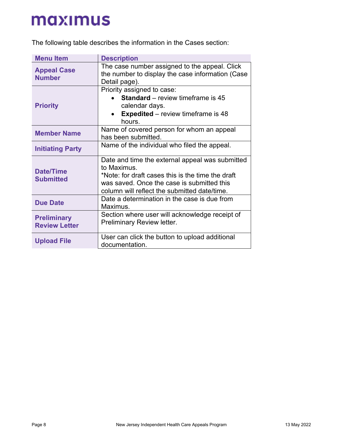The following table describes the information in the Cases section:

| <b>Menu Item</b>                           | <b>Description</b>                                                                                                                                                                                                |
|--------------------------------------------|-------------------------------------------------------------------------------------------------------------------------------------------------------------------------------------------------------------------|
| <b>Appeal Case</b><br><b>Number</b>        | The case number assigned to the appeal. Click<br>the number to display the case information (Case<br>Detail page).                                                                                                |
| <b>Priority</b>                            | Priority assigned to case:<br><b>Standard</b> – review timeframe is 45<br>calendar days.<br><b>Expedited</b> – review timeframe is 48<br>hours.                                                                   |
| <b>Member Name</b>                         | Name of covered person for whom an appeal<br>has been submitted.                                                                                                                                                  |
| <b>Initiating Party</b>                    | Name of the individual who filed the appeal.                                                                                                                                                                      |
| Date/Time<br><b>Submitted</b>              | Date and time the external appeal was submitted<br>to Maximus.<br>*Note: for draft cases this is the time the draft<br>was saved. Once the case is submitted this<br>column will reflect the submitted date/time. |
| <b>Due Date</b>                            | Date a determination in the case is due from<br>Maximus.                                                                                                                                                          |
| <b>Preliminary</b><br><b>Review Letter</b> | Section where user will acknowledge receipt of<br><b>Preliminary Review letter.</b>                                                                                                                               |
| <b>Upload File</b>                         | User can click the button to upload additional<br>documentation.                                                                                                                                                  |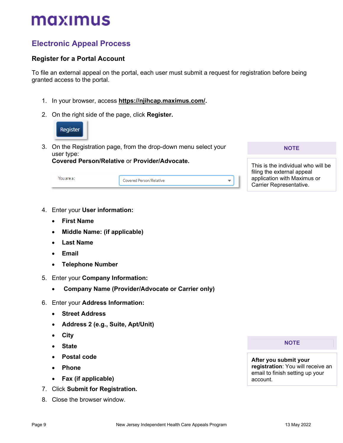## **Electronic Appeal Process**

## **Register for a Portal Account**

<span id="page-8-1"></span><span id="page-8-0"></span>To file an external appeal on the portal, each user must submit a request for registration before being granted access to the portal.

- 1. In your browser, access **[https://njihcap.maximus.com/.](https://njihcap.maximus.com/)**
- 2. On the right side of the page, click **Register.**



3. On the Registration page, from the drop-down menu select your user type: **Covered Person/Relative** or **Provider/Advocate.** 

| You are a : - | Covered Person/Relative |  |
|---------------|-------------------------|--|

**NOTE**

This is the individual who will be filing the external appeal application with Maximus or Carrier Representative.

- 4. Enter your **User information:**
	- **First Name**
	- **Middle Name: (if applicable)**
	- **Last Name**
	- **Email**
	- **Telephone Number**
- 5. Enter your **Company Information:**
	- **Company Name (Provider/Advocate or Carrier only)**
- 6. Enter your **Address Information:**
	- **Street Address**
	- **Address 2 (e.g., Suite, Apt/Unit)**
	- **City**
	- **State**
	- **Postal code**
	- **Phone**
	- **Fax (if applicable)**
- 7. Click **Submit for Registration.**
- 8. Close the browser window.

**NOTE**

**After you submit your registration**: You will receive an email to finish setting up your account.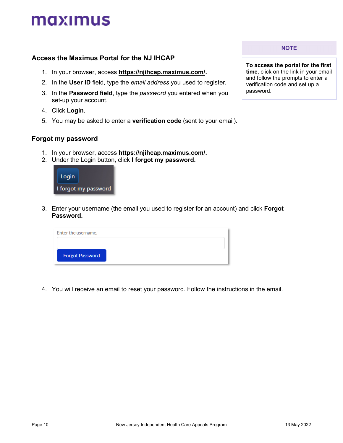### **Access the Maximus Portal for the NJ IHCAP**

- 1. In your browser, access **[https://njihcap.maximus.com/.](https://njihcap.maximus.com/)**
- <span id="page-9-0"></span>2. In the **User ID** field, type the *email address* you used to register.
- 3. In the **Password field**, type the *password* you entered when you set-up your account.
- 4. Click **Login**.
- 5. You may be asked to enter a **verification code** (sent to your email).

### **Forgot my password**

- 1. In your browser, access **[https://njihcap.maximus.com/.](https://njihcap.maximus.com/)**
- 2. Under the Login button, click **I forgot my password.**



3. Enter your username (the email you used to register for an account) and click **Forgot Password.**

| Enter the username.    |  |
|------------------------|--|
|                        |  |
| <b>Forgot Password</b> |  |
|                        |  |

4. You will receive an email to reset your password. Follow the instructions in the email.

**NOTE**

**To access the portal for the first time**, click on the link in your email and follow the prompts to enter a verification code and set up a password.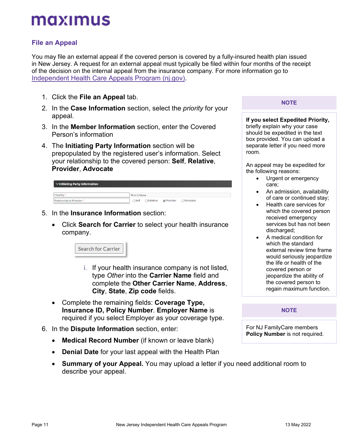## <span id="page-10-1"></span>**File an Appeal**

<span id="page-10-0"></span>You may file an external appeal if the covered person is covered by a fully-insured health plan issued in New Jersey. A request for an external appeal must typically be filed within four months of the receipt of the decision on the internal appeal from the insurance company. For more information go to [Independent Health Care Appeals Program \(nj.gov\).](https://www.nj.gov/dobi/division_insurance/managedcare/ihcap.htm)

- 1. Click the **File an Appeal** tab.
- 2. In the **Case Information** section, select the *priority* for your appeal.
- 3. In the **Member Information** section, enter the Covered Person's information
- 4. The **Initiating Party Information** section will be prepopulated by the registered user's information. Select your relationship to the covered person: **Self**, **Relative**, **Provider**, **Advocate**

| $\vee$ Initiating Party Information |                                                 |
|-------------------------------------|-------------------------------------------------|
| Filed By*                           | <b>Prov LName</b>                               |
| Relatioship to Member*              | $\bigcap$ Self<br>○Relative ●Provider ○Advocate |

- 5. In the **Insurance Information** section:
	- Click **Search for Carrier** to select your health insurance company.

Search for Carrier

- i. If your health insurance company is not listed, type *Other* into the **Carrier Name** field and complete the **Other Carrier Name**, **Address**, **City**, **State**, **Zip code** fields.
- Complete the remaining fields: **Coverage Type, Insurance ID, Policy Number**. **Employer Name** is required if you select Employer as your coverage type.
- 6. In the **Dispute Information** section, enter:
	- **Medical Record Number** (if known or leave blank)
	- **Denial Date** for your last appeal with the Health Plan
	- **Summary of your Appeal.** You may upload a letter if you need additional room to describe your appeal.

**NOTE**

**If you select Expedited Priority,**  briefly explain why your case should be expedited in the text box provided. You can upload a separate letter if you need more room.

An appeal may be expedited for the following reasons:

- Urgent or emergency care;
- An admission, availability of care or continued stay;
- Health care services for which the covered person received emergency services but has not been discharged:
- A medical condition for which the standard external review time frame would seriously jeopardize the life or health of the covered person or jeopardize the ability of the covered person to regain maximum function.

### **NOTE**

For NJ FamilyCare members **Policy Number** is not required.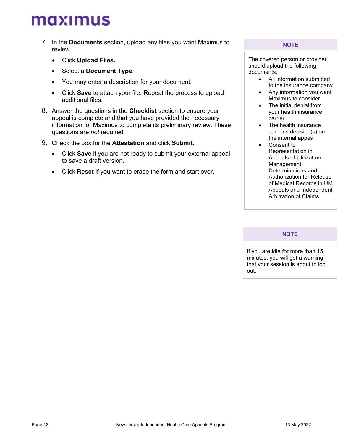- 7. In the **Documents** section, upload any files you want Maximus to review.
	- Click **Upload Files.**
	- Select a **Document Type**.
	- You may enter a description for your document.
	- Click **Save** to attach your file. Repeat the process to upload additional files.
- 8. Answer the questions in the **Checklist** section to ensure your appeal is complete and that you have provided the necessary information for Maximus to complete its preliminary review. These questions are *not* required.
- 9. Check the box for the **Attestation** and click **Submit**.
	- Click **Save** if you are not ready to submit your external appeal to save a draft version.
	- Click **Reset** if you want to erase the form and start over.

#### **NOTE**

The covered person or provider should upload the following documents:

- All information submitted to the insurance company
- Any information you want Maximus to consider
- The initial denial from your health insurance carrier
- The health insurance carrier's decision(s) on the internal appeal
- Consent to Representation in Appeals of Utilization Management Determinations and Authorization for Release of Medical Records in UM Appeals and Independent Arbitration of Claims

### **NOTE**

If you are idle for more than 15 minutes, you will get a warning that your session is about to log out.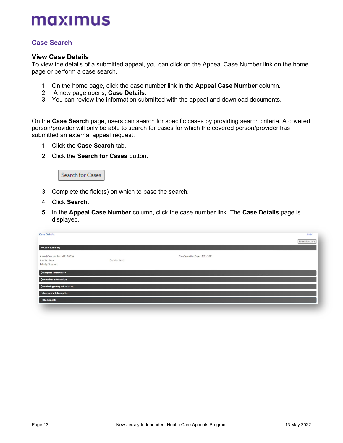## **Case Search**

### **View Case Details**

<span id="page-12-0"></span>To view the details of a submitted appeal, you can click on the Appeal Case Number link on the home page or perform a case search.

- 1. On the home page, click the case number link in the **Appeal Case Number** column**.**
- 2. A new page opens, **Case Details.**
- 3. You can review the information submitted with the appeal and download documents.

On the **Case Search** page, users can search for specific cases by providing search criteria. A covered person/provider will only be able to search for cases for which the covered person/provider has submitted an external appeal request.

- 1. Click the **Case Search** tab.
- 2. Click the **Search for Cases** button.



- 3. Complete the field(s) on which to base the search.
- 4. Click **Search**.
- 5. In the **Appeal Case Number** column, click the case number link. The **Case Details** page is displayed.

| <b>Case Details</b>                                                    |                |                                 | Help             |
|------------------------------------------------------------------------|----------------|---------------------------------|------------------|
|                                                                        |                |                                 | Search for Cases |
| $\vee$ Case Summary                                                    |                |                                 |                  |
| Appeal Case Number: NI21-00016<br>Case Decision:<br>Priority: Standard | Decision Date: | Case Submitted Date: 11/15/2021 |                  |
| > Dispute Information                                                  |                |                                 |                  |
| > Member Information                                                   |                |                                 |                  |
| > Initiating Party Information                                         |                |                                 |                  |
| > Insurance Information                                                |                |                                 |                  |
| >Documents                                                             |                |                                 |                  |
|                                                                        |                |                                 |                  |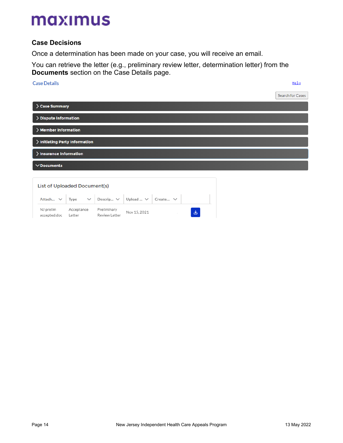## **Case Decisions**

Once a determination has been made on your case, you will receive an email.

You can retrieve the letter (e.g., preliminary review letter, determination letter) from the **Documents** section on the Case Details page.

## **Case Details** Help Search for Cases > Case Summary > Dispute Information > Member Information > Initiating Party Information > Insurance Information  $\vee$ Documents List of Uploaded Document(s)

|                           |                      | Attach $\vee$ Type $\vee$ Descrip $\vee$ Upload $\vee$ Create $\vee$ |              |   |
|---------------------------|----------------------|----------------------------------------------------------------------|--------------|---|
| NJ prelim<br>accepted.doc | Acceptance<br>Letter | Preliminary<br>Review Letter                                         | Nov 15, 2021 | 医 |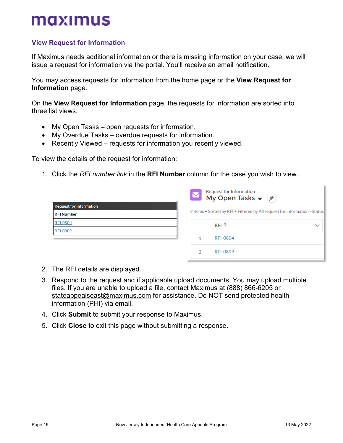## <span id="page-14-1"></span>**View Request for Information**

If Maximus needs additional information or there is missing information on your case, we will issue a request for information via the portal. You'll receive an email notification.

<span id="page-14-0"></span>You may access requests for information from the home page or the **View Request for Information** page.

On the **View Request for Information** page, the requests for information are sorted into three list views:

- My Open Tasks open requests for information.
- My Overdue Tasks overdue requests for information.
- Recently Viewed requests for information you recently viewed.

To view the details of the request for information:

1. Click the *RFI number link* in the **RFI Number** column for the case you wish to view.

|                                | Request for Information<br><b>My Open Tasks</b> $\bullet$ <sup>7</sup><br>$\blacktriangledown$ |              |
|--------------------------------|------------------------------------------------------------------------------------------------|--------------|
| <b>Request for Information</b> |                                                                                                |              |
| <b>RFI Number</b>              | 2 items . Sorted by RFI . Filtered by All request for information - Status                     |              |
| <b>RFI-0804</b>                | RFI <sup>1</sup>                                                                               | $\checkmark$ |
| <b>RFI-0809</b>                |                                                                                                |              |
|                                | <b>RFI-0804</b>                                                                                |              |
|                                | <b>RFI-0809</b><br>2                                                                           |              |

- 2. The RFI details are displayed.
- 3. Respond to the request and if applicable upload documents. You may upload multiple files. If you are unable to upload a file, contact Maximus at (888) 866-6205 or stateappealseast@maximus.com for assistance. Do NOT send protected health information (PHI) via email.
- 4. Click **Submit** to submit your response to Maximus.
- 5. Click **Close** to exit this page without submitting a response.

k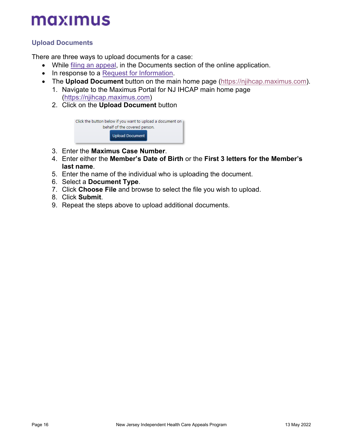## **Upload Documents**

There are three ways to upload documents for a case:

- While [filing an appeal,](#page-10-1) in the Documents section of the online application.
- <span id="page-15-0"></span>• In response to a Request [for Information.](#page-14-1)
- The **Upload Document** button on the main home page [\(https://njihcap.maximus.com\)](https://njihcap.maximus.com/).
	- 1. Navigate to the Maximus Portal for NJ IHCAP main home page [\(https://njihcap.maximus.com\)](https://njihcap.maximus.com/)
	- 2. Click on the **Upload Document** button

| Click the button below if you want to upload a document on<br>behalf of the covered person. |                 |  |
|---------------------------------------------------------------------------------------------|-----------------|--|
|                                                                                             | Upload Document |  |

- 3. Enter the **Maximus Case Number**.
- 4. Enter either the **Member's Date of Birth** or the **First 3 letters for the Member's last name**.
- 5. Enter the name of the individual who is uploading the document.
- 6. Select a **Document Type**.
- 7. Click **Choose File** and browse to select the file you wish to upload.
- 8. Click **Submit**.
- 9. Repeat the steps above to upload additional documents.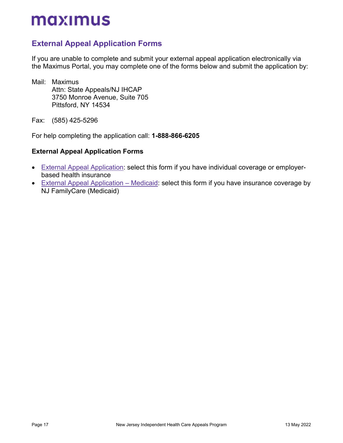## **External Appeal Application Forms**

<span id="page-16-0"></span>If you are unable to complete and submit your external appeal application electronically via the Maximus Portal, you may complete one of the forms below and submit the application by:

Mail: Maximus Attn: State Appeals/NJ IHCAP 3750 Monroe Avenue, Suite 705 Pittsford, NY 14534

Fax: (585) 425-5296

For help completing the application call: **1-888-866-6205**

### **External Appeal Application Forms**

- [External Appeal Application:](#page-17-0) select this form if you have individual coverage or employerbased health insurance
- [External Appeal Application –](#page-23-0) Medicaid: select this form if you have insurance coverage by NJ FamilyCare (Medicaid)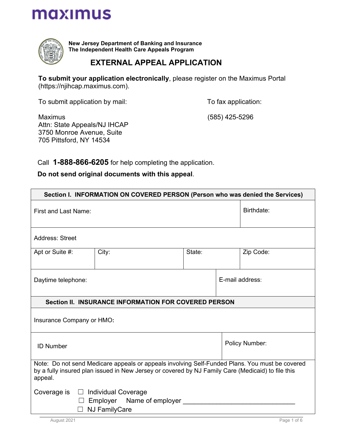<span id="page-17-0"></span>

**New Jersey Department of Banking and Insurance The Independent Health Care Appeals Program**

## **EXTERNAL APPEAL APPLICATION**

**To submit your application electronically**, please register on the Maximus Portal (https://njihcap.maximus.com).

To submit application by mail:

To fax application:

Maximus Attn: State Appeals/NJ IHCAP 3750 Monroe Avenue, Suite 705 Pittsford, NY 14534

(585) 425-5296

Call **1-888-866-6205** for help completing the application.

 **Do not send original documents with this appeal**.

| Section I. INFORMATION ON COVERED PERSON (Person who was denied the Services)                                                                                                                                  |                                                      |        |            |                 |
|----------------------------------------------------------------------------------------------------------------------------------------------------------------------------------------------------------------|------------------------------------------------------|--------|------------|-----------------|
| <b>First and Last Name:</b>                                                                                                                                                                                    |                                                      |        | Birthdate: |                 |
| <b>Address: Street</b>                                                                                                                                                                                         |                                                      |        |            |                 |
| Apt or Suite #:                                                                                                                                                                                                | City:                                                | State: |            | Zip Code:       |
| Daytime telephone:                                                                                                                                                                                             |                                                      |        |            | E-mail address: |
|                                                                                                                                                                                                                | Section II. INSURANCE INFORMATION FOR COVERED PERSON |        |            |                 |
| Insurance Company or HMO:                                                                                                                                                                                      |                                                      |        |            |                 |
| Policy Number:<br><b>ID Number</b>                                                                                                                                                                             |                                                      |        |            |                 |
| Note: Do not send Medicare appeals or appeals involving Self-Funded Plans. You must be covered<br>by a fully insured plan issued in New Jersey or covered by NJ Family Care (Medicaid) to file this<br>appeal. |                                                      |        |            |                 |
| Coverage is $\Box$ Individual Coverage<br>Employer Name of employer<br><b>NJ FamilyCare</b>                                                                                                                    |                                                      |        |            |                 |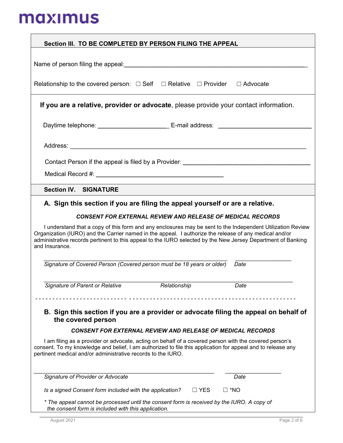| Section III. TO BE COMPLETED BY PERSON FILING THE APPEAL                                                                                                                                                                                                                                                                                               |                                                                   |               |
|--------------------------------------------------------------------------------------------------------------------------------------------------------------------------------------------------------------------------------------------------------------------------------------------------------------------------------------------------------|-------------------------------------------------------------------|---------------|
|                                                                                                                                                                                                                                                                                                                                                        |                                                                   |               |
| Name of person filing the appeal: <b>container and the set of person filing the appeal: Name is a set of person filing the appeal:</b>                                                                                                                                                                                                                 |                                                                   |               |
| Relationship to the covered person: $\Box$ Self $\Box$ Relative $\Box$ Provider $\Box$ Advocate                                                                                                                                                                                                                                                        |                                                                   |               |
| If you are a relative, provider or advocate, please provide your contact information.                                                                                                                                                                                                                                                                  |                                                                   |               |
| Daytime telephone: _______________________________ E-mail address: ____________________                                                                                                                                                                                                                                                                |                                                                   |               |
|                                                                                                                                                                                                                                                                                                                                                        |                                                                   |               |
|                                                                                                                                                                                                                                                                                                                                                        |                                                                   |               |
| Medical Record #: New York 2014 19:00 AM AND THE CONTROL CONTROL CONTROL CONTROL CONTROL CONTROL CONTROL CONTROL CONTROL CONTROL CONTROL CONTROL CONTROL CONTROL CONTROL CONTROL CONTROL CONTROL CONTROL CONTROL CONTROL CONTR                                                                                                                         |                                                                   |               |
| <b>Section IV. SIGNATURE</b>                                                                                                                                                                                                                                                                                                                           |                                                                   |               |
| A. Sign this section if you are filing the appeal yourself or are a relative.                                                                                                                                                                                                                                                                          |                                                                   |               |
|                                                                                                                                                                                                                                                                                                                                                        | <b>CONSENT FOR EXTERNAL REVIEW AND RELEASE OF MEDICAL RECORDS</b> |               |
| I understand that a copy of this form and any enclosures may be sent to the Independent Utilization Review<br>Organization (IURO) and the Carrier named in the appeal. I authorize the release of any medical and/or<br>administrative records pertinent to this appeal to the IURO selected by the New Jersey Department of Banking<br>and Insurance. |                                                                   |               |
| Signature of Covered Person (Covered person must be 18 years or older)                                                                                                                                                                                                                                                                                 |                                                                   | Date          |
| Signature of Parent or Relative                                                                                                                                                                                                                                                                                                                        | Relationship                                                      | Date          |
| B. Sign this section if you are a provider or advocate filing the appeal on behalf of<br>the covered person                                                                                                                                                                                                                                            |                                                                   |               |
|                                                                                                                                                                                                                                                                                                                                                        | <b>CONSENT FOR EXTERNAL REVIEW AND RELEASE OF MEDICAL RECORDS</b> |               |
| I am filing as a provider or advocate, acting on behalf of a covered person with the covered person's<br>consent. To my knowledge and belief, I am authorized to file this application for appeal and to release any<br>pertinent medical and/or administrative records to the IURO.                                                                   |                                                                   |               |
| Signature of Provider or Advocate                                                                                                                                                                                                                                                                                                                      |                                                                   | Date          |
| Is a signed Consent form included with the application?                                                                                                                                                                                                                                                                                                | $\Box$ YES                                                        | $\square$ *NO |
| * The appeal cannot be processed until the consent form is received by the IURO. A copy of<br>the consent form is included with this application.                                                                                                                                                                                                      |                                                                   |               |
| August 2021                                                                                                                                                                                                                                                                                                                                            |                                                                   | Page 2 of 6   |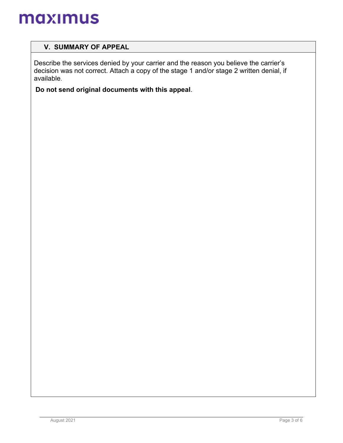## **V. SUMMARY OF APPEAL**

Describe the services denied by your carrier and the reason you believe the carrier's decision was not correct. Attach a copy of the stage 1 and/or stage 2 written denial, if available.

**Do not send original documents with this appeal**.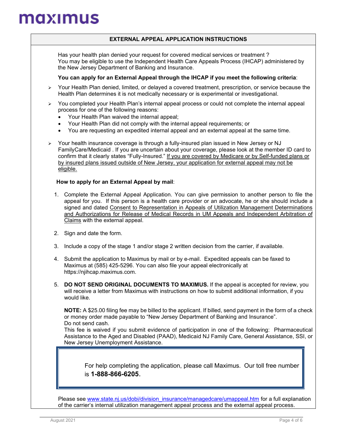### **EXTERNAL APPEAL APPLICATION INSTRUCTIONS**

 Has your health plan denied your request for covered medical services or treatment ? You may be eligible to use the Independent Health Care Appeals Process (IHCAP) administered by the New Jersey Department of Banking and Insurance.

### **You can apply for an External Appeal through the IHCAP if you meet the following criteria**:

- $\triangleright$  Your Health Plan denied, limited, or delayed a covered treatment, prescription, or service because the Health Plan determines it is not medically necessary or is experimental or investigational.
- $\triangleright$  You completed your Health Plan's internal appeal process or could not complete the internal appeal process for one of the following reasons:
	- Your Health Plan waived the internal appeal;
	- Your Health Plan did not comply with the internal appeal requirements; or
	- You are requesting an expedited internal appeal and an external appeal at the same time.
- $\triangleright$  Your health insurance coverage is through a fully-insured plan issued in New Jersey or NJ FamilyCare/Medicaid . If you are uncertain about your coverage, please look at the member ID card to confirm that it clearly states "Fully-Insured." If you are covered by Medicare or by Self-funded plans or by insured plans issued outside of New Jersey, your application for external appeal may not be eligible.

### **How to apply for an External Appeal by mail**:

- 1. Complete the External Appeal Application. You can give permission to another person to file the appeal for you. If this person is a health care provider or an advocate, he or she should include a signed and dated Consent to Representation in Appeals of Utilization Management Determinations and Authorizations for Release of Medical Records in UM Appeals and Independent Arbitration of Claims with the external appeal.
- 2. Sign and date the form.
- 3. Include a copy of the stage 1 and/or stage 2 written decision from the carrier, if available.
- 4. Submit the application to Maximus by mail or by e-mail. Expedited appeals can be faxed to Maximus at (585) 425-5296. You can also file your appeal electronically at https://njihcap.maximus.com.
- 5. **DO NOT SEND ORIGINAL DOCUMENTS TO MAXIMUS.** If the appeal is accepted for review, you will receive a letter from Maximus with instructions on how to submit additional information, if you would like.

**NOTE:** A \$25.00 filing fee may be billed to the applicant. If billed, send payment in the form of a check or money order made payable to "New Jersey Department of Banking and Insurance". Do not send cash.

This fee is waived if you submit evidence of participation in one of the following: Pharmaceutical Assistance to the Aged and Disabled (PAAD), Medicaid NJ Family Care, General Assistance, SSI, or New Jersey Unemployment Assistance.

For help completing the application, please call Maximus. Our toll free number is **1-888-866-6205**.

Please see [www.state.nj.us/dobi/division\\_insurance/managedcare/umappeal.htm](http://www.state.nj.us/dobi/division_insurance/managedcare/umappeal.htm) for a full explanation of the carrier's internal utilization management appeal process and the external appeal process.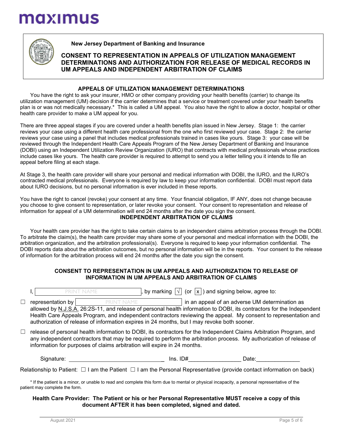

### **New Jersey Department of Banking and Insurance**

### **CONSENT TO REPRESENTATION IN APPEALS OF UTILIZATION MANAGEMENT DETERMINATIONS AND AUTHORIZATION FOR RELEASE OF MEDICAL RECORDS IN UM APPEALS AND INDEPENDENT ARBITRATION OF CLAIMS**

#### **APPEALS OF UTILIZATION MANAGEMENT DETERMINATIONS**

You have the right to ask your insurer, HMO or other company providing your health benefits (carrier) to change its utilization management (UM) decision if the carrier determines that a service or treatment covered under your health benefits plan is or was not medically necessary.\* This is called a UM appeal. You also have the right to allow a doctor, hospital or other health care provider to make a UM appeal for you.

There are three appeal stages if you are covered under a health benefits plan issued in New Jersey. Stage 1: the carrier reviews your case using a different health care professional from the one who first reviewed your case. Stage 2: the carrier reviews your case using a panel that includes medical professionals trained in cases like yours. Stage 3: your case will be reviewed through the Independent Health Care Appeals Program of the New Jersey Department of Banking and Insurance (DOBI) using an Independent Utilization Review Organization (IURO) that contracts with medical professionals whose practices include cases like yours. The health care provider is required to attempt to send you a letter telling you it intends to file an appeal before filing at each stage.

At Stage 3, the health care provider will share your personal and medical information with DOBI, the IURO, and the IURO's contracted medical professionals. Everyone is required by law to keep your information confidential. DOBI must report data about IURO decisions, but no personal information is ever included in these reports.

You have the right to cancel (revoke) your consent at any time. Your financial obligation, IF ANY, does not change because you choose to give consent to representation, or later revoke your consent. Your consent to representation and release of information for appeal of a UM determination will end 24 months after the date you sign the consent. **INDEPENDENT ARBITRATION OF CLAIMS**

Your health care provider has the right to take certain claims to an independent claims arbitration process through the DOBI. To arbitrate the claim(s), the health care provider may share some of your personal and medical information with the DOBI, the arbitration organization, and the arbitration professional(s). Everyone is required to keep your information confidential. The DOBI reports data about the arbitration outcomes, but no personal information will be in the reports. Your consent to the release of information for the arbitration process will end 24 months after the date you sign the consent.

#### **CONSENT TO REPRESENTATION IN UM APPEALS AND AUTHORIZATION TO RELEASE OF INFORMATION IN UM APPEALS AND ARBITRATION OF CLAIMS**

|   | PRINT NAME        |            | , by marking $\boxed{\sqrt}$ (or $\boxed{\mathsf{x}}$ ) and signing below, agree to:                                                                                                                                                       |
|---|-------------------|------------|--------------------------------------------------------------------------------------------------------------------------------------------------------------------------------------------------------------------------------------------|
| □ | representation by | PRINT NAME | in an appeal of an adverse UM determination as                                                                                                                                                                                             |
|   |                   |            | allowed by N.J.S.A. 26:2S-11, and release of personal health information to DOBI, its contractors for the Independent                                                                                                                      |
|   |                   |            | Health Care Appeals Program, and independent contractors reviewing the appeal. My consent to representation and<br>authorization of release of information expires in 24 months, but I may revoke both sooner.                             |
|   |                   |            |                                                                                                                                                                                                                                            |
|   |                   |            | release of personal health information to DOBI, its contractors for the Independent Claims Arbitration Program, and<br>any independent contractors that may be required to perform the arbitration process. My authorization of release of |

any independent contractors that may be required to perform the arbitration process. My authorization of release of information for purposes of claims arbitration will expire in 24 months.

Signature: \_ Ins. ID#\_\_\_\_\_\_\_\_\_\_\_\_\_\_\_\_\_ Date:\_\_\_\_\_\_\_\_\_\_\_\_\_\_

Relationship to Patient: □ I am the Patient □ I am the Personal Representative (provide contact information on back)

\* If the patient is a minor, or unable to read and complete this form due to mental or physical incapacity, a personal representative of the patient may complete the form.

#### **Health Care Provider: The Patient or his or her Personal Representative MUST receive a copy of this document AFTER it has been completed, signed and dated.**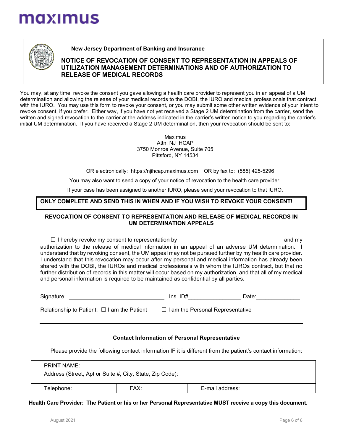

### **New Jersey Department of Banking and Insurance**

### **NOTICE OF REVOCATION OF CONSENT TO REPRESENTATION IN APPEALS OF UTILIZATION MANAGEMENT DETERMINATIONS AND OF AUTHORIZATION TO RELEASE OF MEDICAL RECORDS**

You may, at any time, revoke the consent you gave allowing a health care provider to represent you in an appeal of a UM determination and allowing the release of your medical records to the DOBI, the IURO and medical professionals that contract with the IURO. You may use this form to revoke your consent, or you may submit some other written evidence of your intent to revoke consent, if you prefer. Either way, if you have not yet received a Stage 2 UM determination from the carrier, send the written and signed revocation to the carrier at the address indicated in the carrier's written notice to you regarding the carrier's initial UM determination. If you have received a Stage 2 UM determination, then your revocation should be sent to:

> Maximus Attn: NJ IHCAP 3750 Monroe Avenue, Suite 705 Pittsford, NY 14534

OR electronically: https://njihcap.maximus.com OR by fax to: (585) 425-5296

You may also want to send a copy of your notice of revocation to the health care provider.

If your case has been assigned to another IURO, please send your revocation to that IURO.

### **ONLY COMPLETE AND SEND THIS IN WHEN AND IF YOU WISH TO REVOKE YOUR CONSENT!**

### **REVOCATION OF CONSENT TO REPRESENTATION AND RELEASE OF MEDICAL RECORDS IN UM DETERMINATION APPEALS**

 $\Box$  I hereby revoke my consent to representation by and my and my authorization to the release of medical information in an appeal of an adverse UM determination. I understand that by revoking consent, the UM appeal may not be pursued further by my health care provider. I understand that this revocation may occur after my personal and medical information has already been shared with the DOBI, the IUROs and medical professionals with whom the IUROs contract, but that no further distribution of records in this matter will occur based on my authorization, and that all of my medical and personal information is required to be maintained as confidential by all parties.

| Signature: | . ≠ט<br>Ins. | Date: |
|------------|--------------|-------|
|            |              |       |

| Relationship to Patient: $\Box$ I am the Patient | $\Box$ I am the Personal Representative |
|--------------------------------------------------|-----------------------------------------|
|--------------------------------------------------|-----------------------------------------|

#### **Contact Information of Personal Representative**

Please provide the following contact information IF it is different from the patient's contact information:

| <b>PRINT NAME:</b>                                       |      |                 |  |
|----------------------------------------------------------|------|-----------------|--|
| Address (Street, Apt or Suite #, City, State, Zip Code): |      |                 |  |
| Telephone:                                               | FAX: | E-mail address: |  |

**Health Care Provider: The Patient or his or her Personal Representative MUST receive a copy this document.**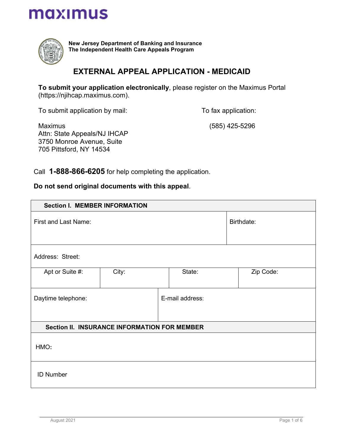<span id="page-23-0"></span>

**New Jersey Department of Banking and Insurance The Independent Health Care Appeals Program**

## **EXTERNAL APPEAL APPLICATION - MEDICAID**

**To submit your application electronically**, please register on the Maximus Portal (https://njihcap.maximus.com).

To submit application by mail:

To fax application:

Maximus Attn: State Appeals/NJ IHCAP 3750 Monroe Avenue, Suite 705 Pittsford, NY 14534

(585) 425-5296

Call **1-888-866-6205** for help completing the application.

**Do not send original documents with this appeal**.

| <b>Section I. MEMBER INFORMATION</b>  |                                                     |            |           |  |
|---------------------------------------|-----------------------------------------------------|------------|-----------|--|
| First and Last Name:                  |                                                     | Birthdate: |           |  |
| Address: Street:                      |                                                     |            |           |  |
| Apt or Suite #:                       | City:                                               | State:     | Zip Code: |  |
| E-mail address:<br>Daytime telephone: |                                                     |            |           |  |
|                                       | <b>Section II. INSURANCE INFORMATION FOR MEMBER</b> |            |           |  |
| HMO:                                  |                                                     |            |           |  |
| <b>ID Number</b>                      |                                                     |            |           |  |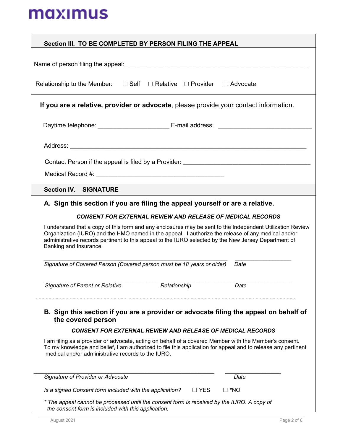| Section III. TO BE COMPLETED BY PERSON FILING THE APPEAL                                                                                                                                                                                                                                                                                                                                                                                                                                                                                                                                                                                              |             |
|-------------------------------------------------------------------------------------------------------------------------------------------------------------------------------------------------------------------------------------------------------------------------------------------------------------------------------------------------------------------------------------------------------------------------------------------------------------------------------------------------------------------------------------------------------------------------------------------------------------------------------------------------------|-------------|
|                                                                                                                                                                                                                                                                                                                                                                                                                                                                                                                                                                                                                                                       |             |
|                                                                                                                                                                                                                                                                                                                                                                                                                                                                                                                                                                                                                                                       |             |
| Relationship to the Member: $\Box$ Self $\Box$ Relative $\Box$ Provider $\Box$ Advocate                                                                                                                                                                                                                                                                                                                                                                                                                                                                                                                                                               |             |
| If you are a relative, provider or advocate, please provide your contact information.                                                                                                                                                                                                                                                                                                                                                                                                                                                                                                                                                                 |             |
| Daytime telephone: ________________________________ E-mail address: _______________________________                                                                                                                                                                                                                                                                                                                                                                                                                                                                                                                                                   |             |
|                                                                                                                                                                                                                                                                                                                                                                                                                                                                                                                                                                                                                                                       |             |
|                                                                                                                                                                                                                                                                                                                                                                                                                                                                                                                                                                                                                                                       |             |
|                                                                                                                                                                                                                                                                                                                                                                                                                                                                                                                                                                                                                                                       |             |
| <b>Section IV. SIGNATURE</b>                                                                                                                                                                                                                                                                                                                                                                                                                                                                                                                                                                                                                          |             |
| A. Sign this section if you are filing the appeal yourself or are a relative.<br><b>CONSENT FOR EXTERNAL REVIEW AND RELEASE OF MEDICAL RECORDS</b><br>I understand that a copy of this form and any enclosures may be sent to the Independent Utilization Review<br>Organization (IURO) and the HMO named in the appeal. I authorize the release of any medical and/or<br>administrative records pertinent to this appeal to the IURO selected by the New Jersey Department of<br>Banking and Insurance.<br>Signature of Covered Person (Covered person must be 18 years or older)<br>Date<br>Signature of Parent or Relative<br>Relationship<br>Date |             |
| B. Sign this section if you are a provider or advocate filing the appeal on behalf of<br>the covered person<br><b>CONSENT FOR EXTERNAL REVIEW AND RELEASE OF MEDICAL RECORDS</b>                                                                                                                                                                                                                                                                                                                                                                                                                                                                      |             |
| I am filing as a provider or advocate, acting on behalf of a covered Member with the Member's consent.                                                                                                                                                                                                                                                                                                                                                                                                                                                                                                                                                |             |
| To my knowledge and belief, I am authorized to file this application for appeal and to release any pertinent<br>medical and/or administrative records to the IURO.                                                                                                                                                                                                                                                                                                                                                                                                                                                                                    |             |
| Signature of Provider or Advocate<br>Date                                                                                                                                                                                                                                                                                                                                                                                                                                                                                                                                                                                                             |             |
| Is a signed Consent form included with the application?<br>$\Box$ YES<br>$\square$ *NO                                                                                                                                                                                                                                                                                                                                                                                                                                                                                                                                                                |             |
| * The appeal cannot be processed until the consent form is received by the IURO. A copy of<br>the consent form is included with this application.                                                                                                                                                                                                                                                                                                                                                                                                                                                                                                     |             |
| August 2021                                                                                                                                                                                                                                                                                                                                                                                                                                                                                                                                                                                                                                           | Page 2 of 6 |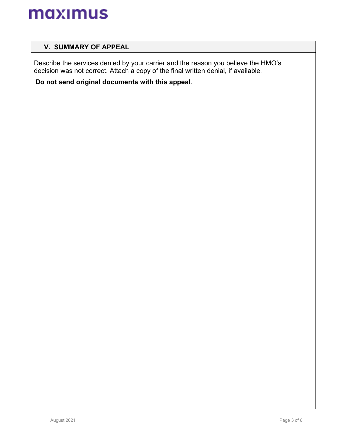## **V. SUMMARY OF APPEAL**

Describe the services denied by your carrier and the reason you believe the HMO's decision was not correct. Attach a copy of the final written denial, if available.

**Do not send original documents with this appeal**.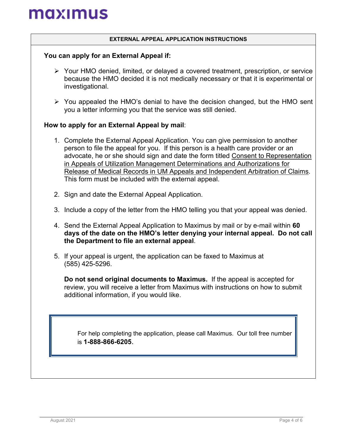### **EXTERNAL APPEAL APPLICATION INSTRUCTIONS**

### **You can apply for an External Appeal if:**

- Your HMO denied, limited, or delayed a covered treatment, prescription, or service because the HMO decided it is not medically necessary or that it is experimental or investigational.
- $\triangleright$  You appealed the HMO's denial to have the decision changed, but the HMO sent you a letter informing you that the service was still denied.

### **How to apply for an External Appeal by mail**:

- 1. Complete the External Appeal Application. You can give permission to another person to file the appeal for you. If this person is a health care provider or an advocate, he or she should sign and date the form titled Consent to Representation in Appeals of Utilization Management Determinations and Authorizations for Release of Medical Records in UM Appeals and Independent Arbitration of Claims. This form must be included with the external appeal.
- 2. Sign and date the External Appeal Application.
- 3. Include a copy of the letter from the HMO telling you that your appeal was denied.
- 4. Send the External Appeal Application to Maximus by mail or by e-mail within **60 days of the date on the HMO's letter denying your internal appeal. Do not call the Department to file an external appeal**.
- 5. If your appeal is urgent, the application can be faxed to Maximus at (585) 425-5296.

**Do not send original documents to Maximus.** If the appeal is accepted for review, you will receive a letter from Maximus with instructions on how to submit additional information, if you would like.

For help completing the application, please call Maximus. Our toll free number is **1-888-866-6205**.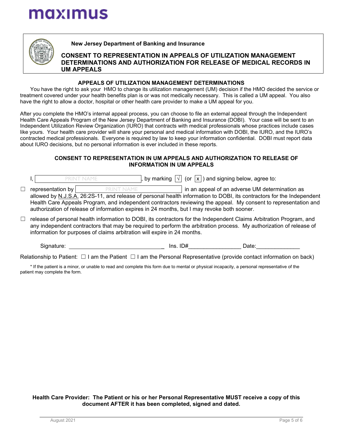

**New Jersey Department of Banking and Insurance**

### **CONSENT TO REPRESENTATION IN APPEALS OF UTILIZATION MANAGEMENT DETERMINATIONS AND AUTHORIZATION FOR RELEASE OF MEDICAL RECORDS IN UM APPEALS**

### **APPEALS OF UTILIZATION MANAGEMENT DETERMINATIONS**

You have the right to ask your HMO to change its utilization management (UM) decision if the HMO decided the service or treatment covered under your health benefits plan is or was not medically necessary. This is called a UM appeal. You also have the right to allow a doctor, hospital or other health care provider to make a UM appeal for you.

After you complete the HMO's internal appeal process, you can choose to file an external appeal through the Independent Health Care Appeals Program of the New Jersey Department of Banking and Insurance (DOBI). Your case will be sent to an Independent Utilization Review Organization (IURO) that contracts with medical professionals whose practices include cases like yours. Your health care provider will share your personal and medical information with DOBI, the IURO, and the IURO's contracted medical professionals. Everyone is required by law to keep your information confidential. DOBI must report data about IURO decisions, but no personal information is ever included in these reports.

### **CONSENT TO REPRESENTATION IN UM APPEALS AND AUTHORIZATION TO RELEASE OF INFORMATION IN UM APPEALS**

|   |                   | <b>PRINT NAME</b>                                                                                                     | , by marking $ \vee $ (or $ x $ ) and signing below, agree to: |                                                |  |
|---|-------------------|-----------------------------------------------------------------------------------------------------------------------|----------------------------------------------------------------|------------------------------------------------|--|
| □ | representation by | PRINT NAME                                                                                                            |                                                                | in an appeal of an adverse UM determination as |  |
|   |                   | allowed by N.J.S.A. 26:2S-11, and release of personal health information to DOBI, its contractors for the Independent |                                                                |                                                |  |
|   |                   | Health Care Appeals Program, and independent contractors reviewing the appeal. My consent to representation and       |                                                                |                                                |  |
|   |                   | authorization of release of information expires in 24 months, but I may revoke both sooner.                           |                                                                |                                                |  |
|   |                   | release of personal health information to DOBI, its contractors for the Independent Claims Arbitration Program, and   |                                                                |                                                |  |

☐ release of personal health information to DOBI, its contractors for the Independent Claims Arbitration Program, and any independent contractors that may be required to perform the arbitration process. My authorization of release of information for purposes of claims arbitration will expire in 24 months.

Signature: example and the set of the lines. ID# and Date:  $\Box$  Date:

Relationship to Patient: □ I am the Patient □ I am the Personal Representative (provide contact information on back)

\* If the patient is a minor, or unable to read and complete this form due to mental or physical incapacity, a personal representative of the patient may complete the form.

**Health Care Provider: The Patient or his or her Personal Representative MUST receive a copy of this document AFTER it has been completed, signed and dated.**